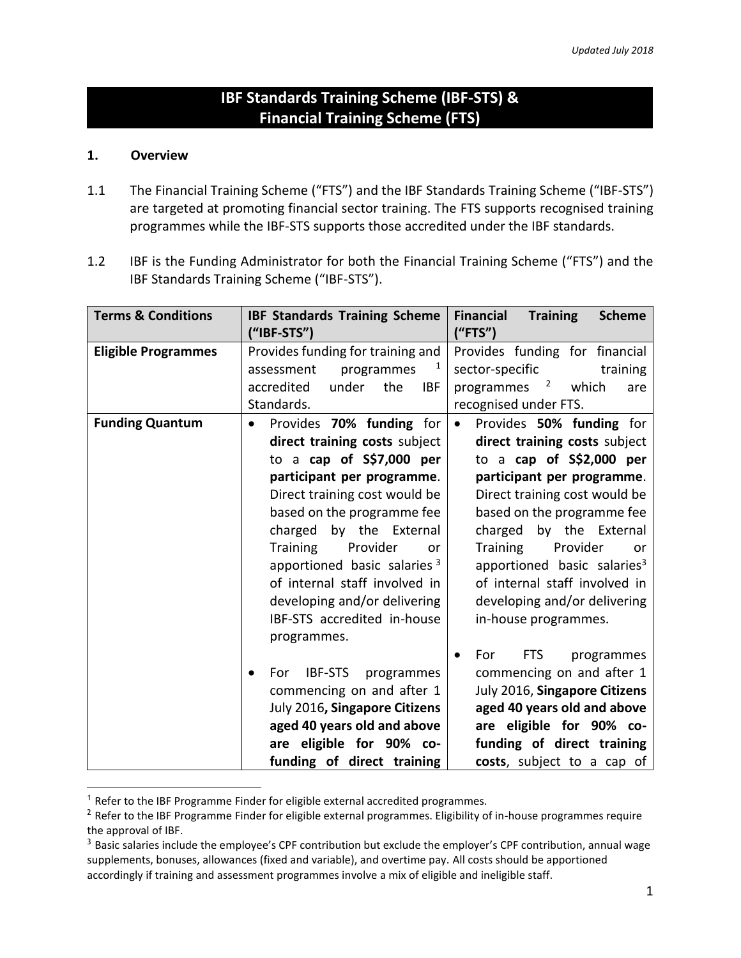# **IBF Standards Training Scheme (IBF-STS) & Financial Training Scheme (FTS)**

#### **1. Overview**

 $\overline{a}$ 

- 1.1 The Financial Training Scheme ("FTS") and the IBF Standards Training Scheme ("IBF-STS") are targeted at promoting financial sector training. The FTS supports recognised training programmes while the IBF-STS supports those accredited under the IBF standards.
- 1.2 IBF is the Funding Administrator for both the Financial Training Scheme ("FTS") and the IBF Standards Training Scheme ("IBF-STS").

| <b>Terms &amp; Conditions</b> | <b>IBF Standards Training Scheme</b><br>("IBF-STS")                                                                                                                                                                                                                                                                                                                                                                                                                                                                                                                                                | <b>Financial</b><br><b>Training</b><br><b>Scheme</b><br>("FTS")                                                                                                                                                                                                                                                                                                                                                                                                                                                                                                                                                                    |
|-------------------------------|----------------------------------------------------------------------------------------------------------------------------------------------------------------------------------------------------------------------------------------------------------------------------------------------------------------------------------------------------------------------------------------------------------------------------------------------------------------------------------------------------------------------------------------------------------------------------------------------------|------------------------------------------------------------------------------------------------------------------------------------------------------------------------------------------------------------------------------------------------------------------------------------------------------------------------------------------------------------------------------------------------------------------------------------------------------------------------------------------------------------------------------------------------------------------------------------------------------------------------------------|
| <b>Eligible Programmes</b>    | Provides funding for training and<br>$\mathbf{1}$<br>assessment<br>programmes<br>accredited<br>under<br>the<br><b>IBF</b><br>Standards.                                                                                                                                                                                                                                                                                                                                                                                                                                                            | Provides funding for financial<br>sector-specific<br>training<br>programmes <sup>2</sup><br>which<br>are<br>recognised under FTS.                                                                                                                                                                                                                                                                                                                                                                                                                                                                                                  |
| <b>Funding Quantum</b>        | Provides 70% funding for<br>direct training costs subject<br>to a cap of S\$7,000 per<br>participant per programme.<br>Direct training cost would be<br>based on the programme fee<br>by the External<br>charged<br><b>Training</b><br>Provider<br>or<br>apportioned basic salaries 3<br>of internal staff involved in<br>developing and/or delivering<br>IBF-STS accredited in-house<br>programmes.<br><b>IBF-STS</b><br>programmes<br>For<br>commencing on and after 1<br>July 2016, Singapore Citizens<br>aged 40 years old and above<br>are eligible for 90% co-<br>funding of direct training | Provides 50% funding for<br>$\bullet$<br>direct training costs subject<br>to a cap of S\$2,000 per<br>participant per programme.<br>Direct training cost would be<br>based on the programme fee<br>charged by the External<br><b>Training</b><br>Provider<br><b>or</b><br>apportioned basic salaries <sup>3</sup><br>of internal staff involved in<br>developing and/or delivering<br>in-house programmes.<br><b>FTS</b><br>For<br>programmes<br>commencing on and after 1<br>July 2016, Singapore Citizens<br>aged 40 years old and above<br>are eligible for 90% co-<br>funding of direct training<br>costs, subject to a cap of |

 $1$  Refer to the IBF Programme Finder for eligible external accredited programmes.

<sup>&</sup>lt;sup>2</sup> Refer to the IBF Programme Finder for eligible external programmes. Eligibility of in-house programmes require the approval of IBF.

<sup>&</sup>lt;sup>3</sup> Basic salaries include the employee's CPF contribution but exclude the employer's CPF contribution, annual wage supplements, bonuses, allowances (fixed and variable), and overtime pay. All costs should be apportioned accordingly if training and assessment programmes involve a mix of eligible and ineligible staff.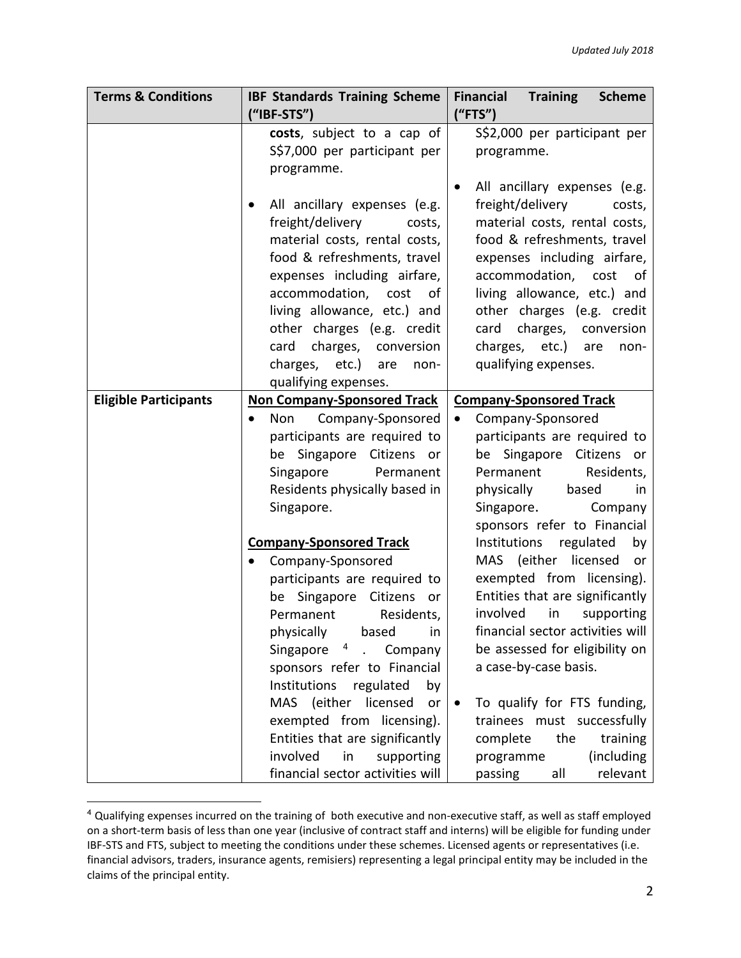| <b>Terms &amp; Conditions</b> | <b>IBF Standards Training Scheme</b><br>("IBF-STS")                                                                                                                                                                                                                                                                                                                                                                                                                                         | <b>Financial</b><br><b>Training</b><br><b>Scheme</b><br>("FTS")                                                                                                                                                                                                                                                                                                                                                                |  |  |  |
|-------------------------------|---------------------------------------------------------------------------------------------------------------------------------------------------------------------------------------------------------------------------------------------------------------------------------------------------------------------------------------------------------------------------------------------------------------------------------------------------------------------------------------------|--------------------------------------------------------------------------------------------------------------------------------------------------------------------------------------------------------------------------------------------------------------------------------------------------------------------------------------------------------------------------------------------------------------------------------|--|--|--|
|                               | costs, subject to a cap of<br>S\$7,000 per participant per<br>programme.                                                                                                                                                                                                                                                                                                                                                                                                                    | S\$2,000 per participant per<br>programme.                                                                                                                                                                                                                                                                                                                                                                                     |  |  |  |
|                               | All ancillary expenses (e.g.<br>freight/delivery<br>costs,<br>material costs, rental costs,<br>food & refreshments, travel<br>expenses including airfare,<br>accommodation,<br>cost<br>оf<br>living allowance, etc.) and<br>other charges (e.g. credit<br>charges, conversion<br>card<br>charges, etc.)<br>are<br>non-<br>qualifying expenses.                                                                                                                                              | All ancillary expenses (e.g.<br>freight/delivery<br>costs,<br>material costs, rental costs,<br>food & refreshments, travel<br>expenses including airfare,<br>accommodation, cost<br>0f<br>living allowance, etc.) and<br>other charges (e.g. credit<br>charges, conversion<br>card<br>charges, etc.) are<br>non-<br>qualifying expenses.                                                                                       |  |  |  |
| <b>Eligible Participants</b>  | <b>Non Company-Sponsored Track</b>                                                                                                                                                                                                                                                                                                                                                                                                                                                          | <b>Company-Sponsored Track</b>                                                                                                                                                                                                                                                                                                                                                                                                 |  |  |  |
|                               | Non Company-Sponsored<br>$\bullet$<br>participants are required to<br>be Singapore Citizens or<br>Singapore<br>Permanent<br>Residents physically based in<br>Singapore.                                                                                                                                                                                                                                                                                                                     | Company-Sponsored<br>$\bullet$<br>participants are required to<br>be Singapore Citizens or<br>Residents,<br>Permanent<br>physically<br>based<br>in<br>Singapore.<br>Company<br>sponsors refer to Financial                                                                                                                                                                                                                     |  |  |  |
|                               | <b>Company-Sponsored Track</b><br>Company-Sponsored<br>$\bullet$<br>participants are required to<br>Singapore Citizens<br>be<br>or<br>Residents,<br>Permanent<br>physically based<br>in<br>Singapore <sup>4</sup><br>Company<br>$\ddot{\phantom{a}}$<br>sponsors refer to Financial<br>Institutions<br>regulated<br>by<br>MAS (either<br>licensed<br>or<br>exempted from licensing).<br>Entities that are significantly<br>involved<br>supporting<br>in<br>financial sector activities will | Institutions regulated<br>by<br>MAS (either<br>licensed<br>or<br>exempted from licensing).<br>Entities that are significantly<br>involved<br>in<br>supporting<br>financial sector activities will<br>be assessed for eligibility on<br>a case-by-case basis.<br>To qualify for FTS funding,<br>$\bullet$<br>trainees must successfully<br>the<br>training<br>complete<br>(including<br>programme<br>relevant<br>passing<br>all |  |  |  |

<sup>4</sup> Qualifying expenses incurred on the training of both executive and non-executive staff, as well as staff employed on a short-term basis of less than one year (inclusive of contract staff and interns) will be eligible for funding under IBF-STS and FTS, subject to meeting the conditions under these schemes. Licensed agents or representatives (i.e. financial advisors, traders, insurance agents, remisiers) representing a legal principal entity may be included in the claims of the principal entity.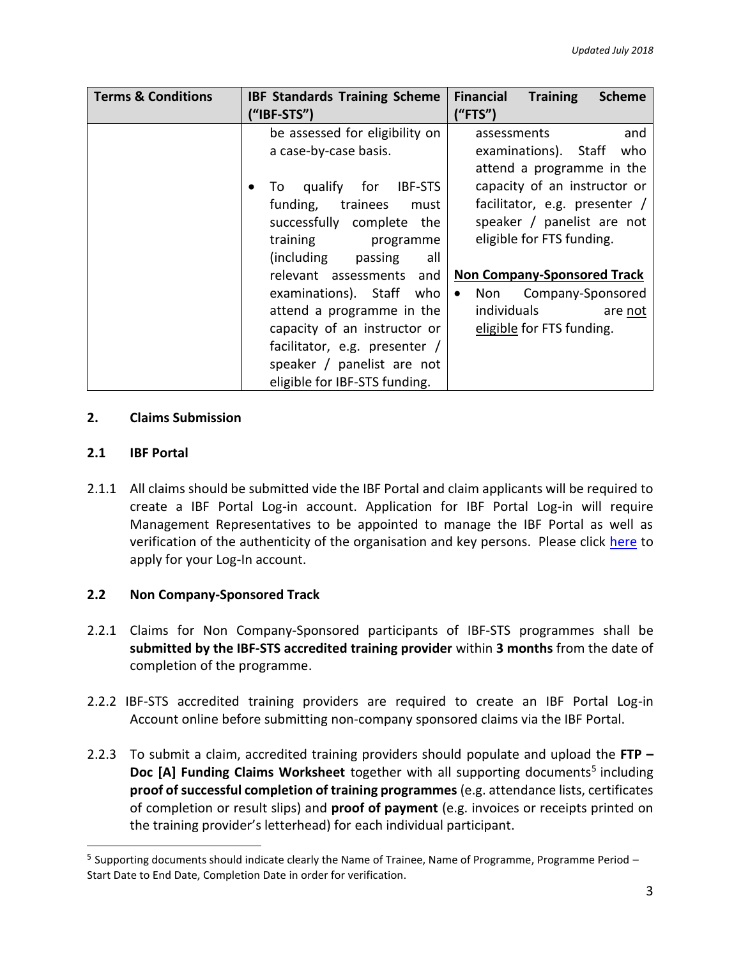| <b>Terms &amp; Conditions</b> | <b>IBF Standards Training Scheme</b><br>("IBF-STS")                                                                                                                                                                                                                                                       | <b>Financial</b><br><b>Training</b><br><b>Scheme</b><br>("FTS")                                                                                                                                                                                                                                                  |
|-------------------------------|-----------------------------------------------------------------------------------------------------------------------------------------------------------------------------------------------------------------------------------------------------------------------------------------------------------|------------------------------------------------------------------------------------------------------------------------------------------------------------------------------------------------------------------------------------------------------------------------------------------------------------------|
|                               | be assessed for eligibility on<br>a case-by-case basis.<br>To qualify for IBF-STS<br>$\bullet$<br>funding,<br>trainees<br>must<br>successfully complete the<br>training<br>programme<br>(including passing<br>all<br>relevant assessments<br>and<br>examinations). Staff who<br>attend a programme in the | and<br>assessments<br>examinations). Staff<br>who<br>attend a programme in the<br>capacity of an instructor or<br>facilitator, e.g. presenter /<br>speaker / panelist are not<br>eligible for FTS funding.<br><b>Non Company-Sponsored Track</b><br>Non Company-Sponsored<br>$\bullet$<br>individuals<br>are not |
|                               | capacity of an instructor or<br>facilitator, e.g. presenter /<br>speaker / panelist are not<br>eligible for IBF-STS funding.                                                                                                                                                                              | eligible for FTS funding.                                                                                                                                                                                                                                                                                        |

## **2. Claims Submission**

## **2.1 IBF Portal**

 $\overline{a}$ 

2.1.1 All claims should be submitted vide the IBF Portal and claim applicants will be required to create a IBF Portal Log-in account. Application for IBF Portal Log-in will require Management Representatives to be appointed to manage the IBF Portal as well as verification of the authenticity of the organisation and key persons. Please click [here](https://eservices.ibf.org.sg/CustomerManagement/SignUp) to apply for your Log-In account.

# **2.2 Non Company-Sponsored Track**

- 2.2.1 Claims for Non Company-Sponsored participants of IBF-STS programmes shall be **submitted by the IBF-STS accredited training provider** within **3 months** from the date of completion of the programme.
- 2.2.2 IBF-STS accredited training providers are required to create an IBF Portal Log-in Account online before submitting non-company sponsored claims via the IBF Portal.
- 2.2.3 To submit a claim, accredited training providers should populate and upload the **FTP –** Doc [A] Funding Claims Worksheet together with all supporting documents<sup>5</sup> including **proof of successful completion of training programmes** (e.g. attendance lists, certificates of completion or result slips) and **proof of payment** (e.g. invoices or receipts printed on the training provider's letterhead) for each individual participant.

<sup>&</sup>lt;sup>5</sup> Supporting documents should indicate clearly the Name of Trainee, Name of Programme, Programme Period – Start Date to End Date, Completion Date in order for verification.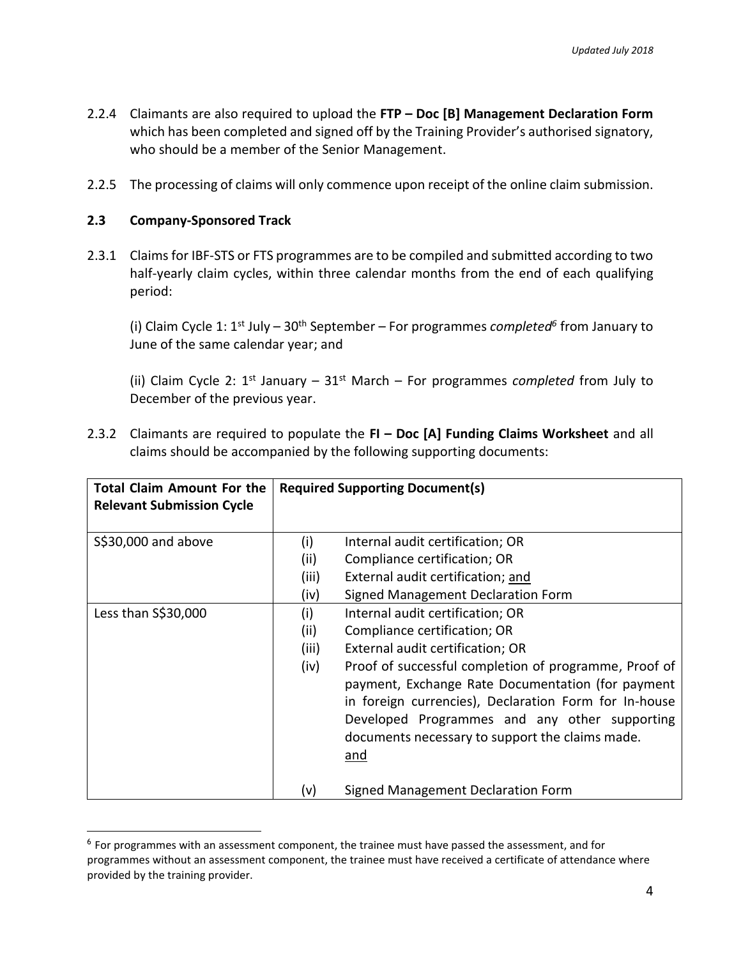- 2.2.4 Claimants are also required to upload the **FTP – Doc [B] Management Declaration Form** which has been completed and signed off by the Training Provider's authorised signatory, who should be a member of the Senior Management.
- 2.2.5 The processing of claims will only commence upon receipt of the online claim submission.

#### **2.3 Company-Sponsored Track**

 $\overline{a}$ 

2.3.1 Claims for IBF-STS or FTS programmes are to be compiled and submitted according to two half-yearly claim cycles, within three calendar months from the end of each qualifying period:

(i) Claim Cycle 1: 1<sup>st</sup> July – 30<sup>th</sup> September – For programmes *completed*<sup>6</sup> from January to June of the same calendar year; and

(ii) Claim Cycle 2: 1<sup>st</sup> January – 31<sup>st</sup> March – For programmes *completed* from July to December of the previous year.

| <b>Total Claim Amount For the</b><br><b>Relevant Submission Cycle</b> |       | <b>Required Supporting Document(s)</b>                                                                                                                                                                                                                                         |
|-----------------------------------------------------------------------|-------|--------------------------------------------------------------------------------------------------------------------------------------------------------------------------------------------------------------------------------------------------------------------------------|
| \$\$30,000 and above                                                  | (i)   | Internal audit certification; OR                                                                                                                                                                                                                                               |
|                                                                       | (ii)  | Compliance certification; OR                                                                                                                                                                                                                                                   |
|                                                                       | (iii) | External audit certification; and                                                                                                                                                                                                                                              |
|                                                                       | (iv)  | Signed Management Declaration Form                                                                                                                                                                                                                                             |
| Less than S\$30,000                                                   | (i)   | Internal audit certification; OR                                                                                                                                                                                                                                               |
|                                                                       | (ii)  | Compliance certification; OR                                                                                                                                                                                                                                                   |
|                                                                       | (iii) | External audit certification; OR                                                                                                                                                                                                                                               |
|                                                                       | (iv)  | Proof of successful completion of programme, Proof of<br>payment, Exchange Rate Documentation (for payment<br>in foreign currencies), Declaration Form for In-house<br>Developed Programmes and any other supporting<br>documents necessary to support the claims made.<br>and |
|                                                                       | (v)   | Signed Management Declaration Form                                                                                                                                                                                                                                             |

2.3.2 Claimants are required to populate the **FI – Doc [A] Funding Claims Worksheet** and all claims should be accompanied by the following supporting documents:

<sup>&</sup>lt;sup>6</sup> For programmes with an assessment component, the trainee must have passed the assessment, and for programmes without an assessment component, the trainee must have received a certificate of attendance where provided by the training provider.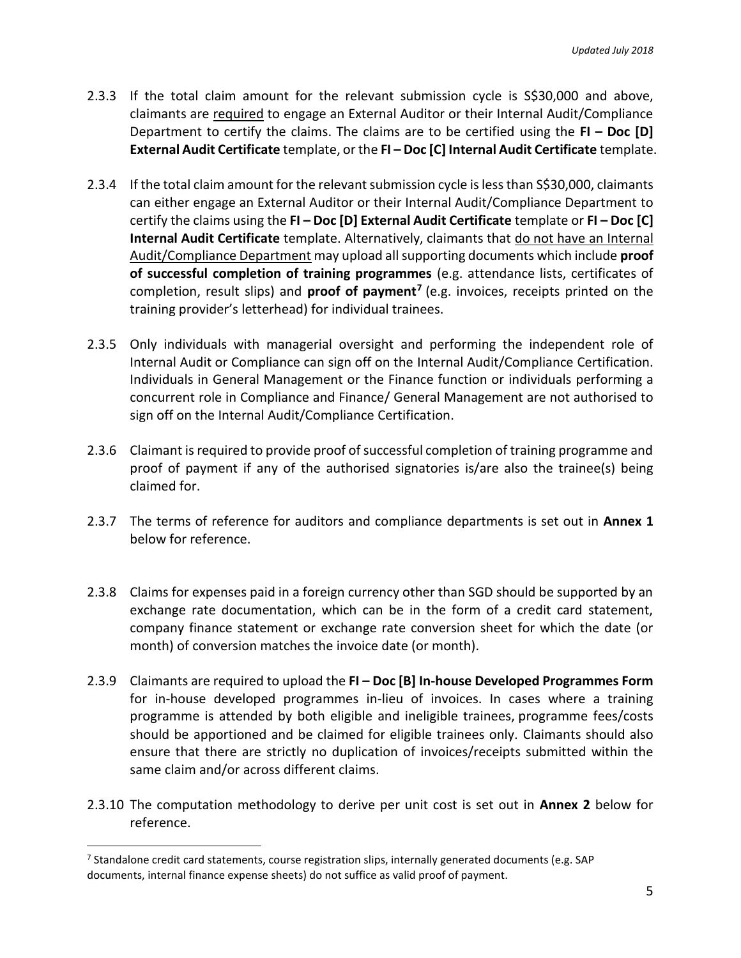- 2.3.3 If the total claim amount for the relevant submission cycle is S\$30,000 and above, claimants are required to engage an External Auditor or their Internal Audit/Compliance Department to certify the claims. The claims are to be certified using the **FI – Doc [D] External Audit Certificate** template, or the **FI – Doc [C] Internal Audit Certificate** template.
- 2.3.4 If the total claim amount for the relevant submission cycle is less than S\$30,000, claimants can either engage an External Auditor or their Internal Audit/Compliance Department to certify the claims using the **FI – Doc [D] External Audit Certificate** template or **FI – Doc [C] Internal Audit Certificate** template. Alternatively, claimants that do not have an Internal Audit/Compliance Department may upload all supporting documents which include **proof of successful completion of training programmes** (e.g. attendance lists, certificates of completion, result slips) and **proof of payment<sup>7</sup>** (e.g. invoices, receipts printed on the training provider's letterhead) for individual trainees.
- 2.3.5 Only individuals with managerial oversight and performing the independent role of Internal Audit or Compliance can sign off on the Internal Audit/Compliance Certification. Individuals in General Management or the Finance function or individuals performing a concurrent role in Compliance and Finance/ General Management are not authorised to sign off on the Internal Audit/Compliance Certification.
- 2.3.6 Claimant is required to provide proof of successful completion of training programme and proof of payment if any of the authorised signatories is/are also the trainee(s) being claimed for.
- 2.3.7 The terms of reference for auditors and compliance departments is set out in **Annex 1** below for reference.
- 2.3.8 Claims for expenses paid in a foreign currency other than SGD should be supported by an exchange rate documentation, which can be in the form of a credit card statement, company finance statement or exchange rate conversion sheet for which the date (or month) of conversion matches the invoice date (or month).
- 2.3.9 Claimants are required to upload the **FI – Doc [B] In-house Developed Programmes Form** for in-house developed programmes in-lieu of invoices. In cases where a training programme is attended by both eligible and ineligible trainees, programme fees/costs should be apportioned and be claimed for eligible trainees only. Claimants should also ensure that there are strictly no duplication of invoices/receipts submitted within the same claim and/or across different claims.
- 2.3.10 The computation methodology to derive per unit cost is set out in **Annex 2** below for reference.

 $\overline{a}$ 

<sup>&</sup>lt;sup>7</sup> Standalone credit card statements, course registration slips, internally generated documents (e.g. SAP documents, internal finance expense sheets) do not suffice as valid proof of payment.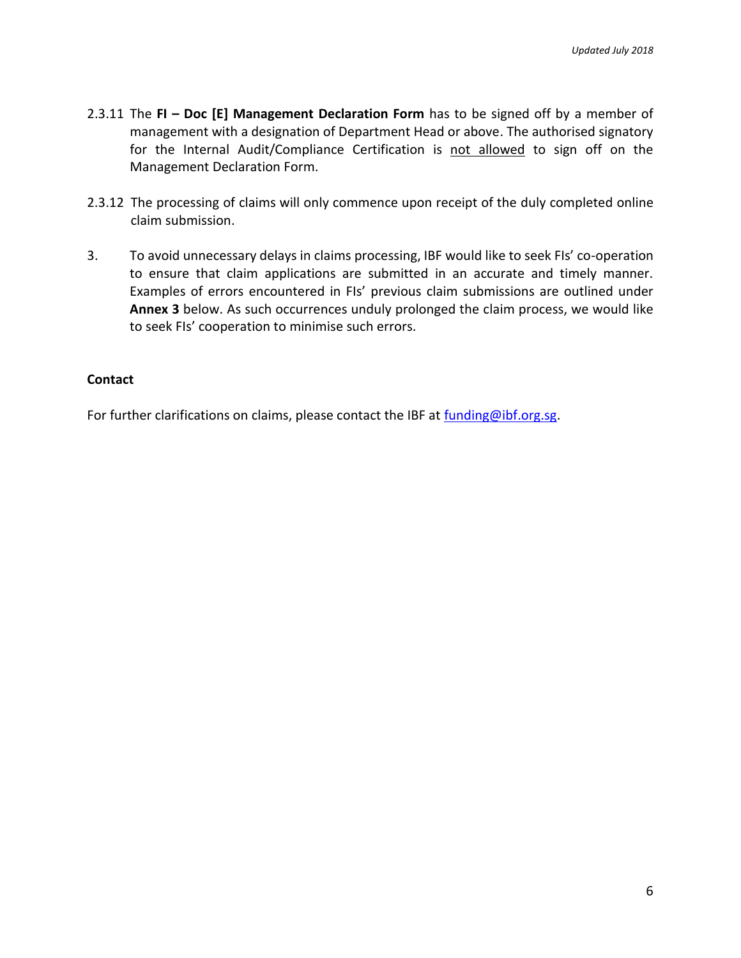- 2.3.11 The **FI – Doc [E] Management Declaration Form** has to be signed off by a member of management with a designation of Department Head or above. The authorised signatory for the Internal Audit/Compliance Certification is not allowed to sign off on the Management Declaration Form.
- 2.3.12 The processing of claims will only commence upon receipt of the duly completed online claim submission.
- 3. To avoid unnecessary delays in claims processing, IBF would like to seek FIs' co-operation to ensure that claim applications are submitted in an accurate and timely manner. Examples of errors encountered in FIs' previous claim submissions are outlined under **Annex 3** below. As such occurrences unduly prolonged the claim process, we would like to seek FIs' cooperation to minimise such errors.

#### **Contact**

For further clarifications on claims, please contact the IBF at [funding@ibf.org.sg.](file://///dc01/IBF/common/New%20IBF%20Website/Content%20Migration%20Part%201/Training%20Incentives/24%20April/funding@ibf.org.sg)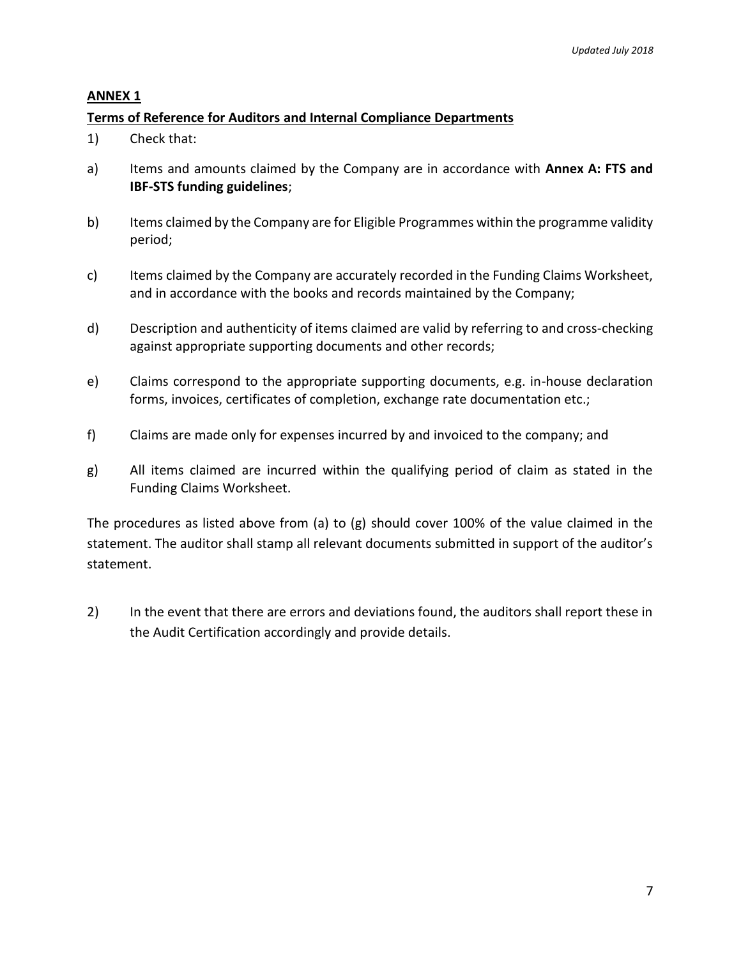#### **ANNEX 1**

#### **Terms of Reference for Auditors and Internal Compliance Departments**

- 1) Check that:
- a) Items and amounts claimed by the Company are in accordance with **Annex A: FTS and IBF-STS funding guidelines**;
- b) Items claimed by the Company are for Eligible Programmes within the programme validity period;
- c) Items claimed by the Company are accurately recorded in the Funding Claims Worksheet, and in accordance with the books and records maintained by the Company;
- d) Description and authenticity of items claimed are valid by referring to and cross-checking against appropriate supporting documents and other records;
- e) Claims correspond to the appropriate supporting documents, e.g. in-house declaration forms, invoices, certificates of completion, exchange rate documentation etc.;
- f) Claims are made only for expenses incurred by and invoiced to the company; and
- g) All items claimed are incurred within the qualifying period of claim as stated in the Funding Claims Worksheet.

The procedures as listed above from (a) to (g) should cover 100% of the value claimed in the statement. The auditor shall stamp all relevant documents submitted in support of the auditor's statement.

2) In the event that there are errors and deviations found, the auditors shall report these in the Audit Certification accordingly and provide details.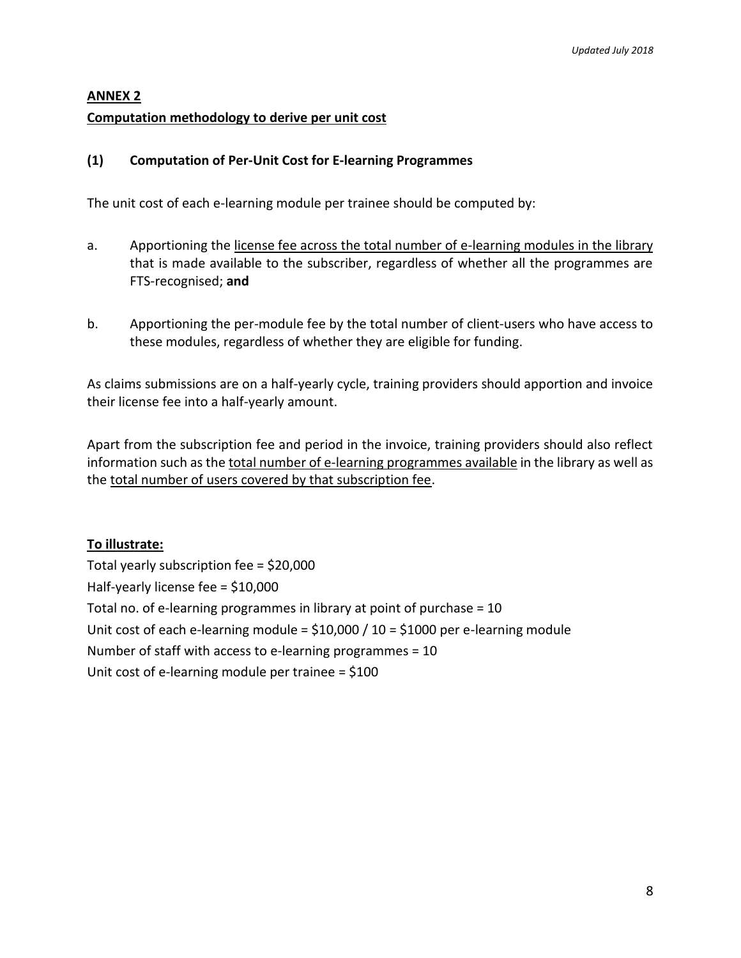# **ANNEX 2**

## **Computation methodology to derive per unit cost**

## **(1) Computation of Per-Unit Cost for E-learning Programmes**

The unit cost of each e-learning module per trainee should be computed by:

- a. Apportioning the license fee across the total number of e-learning modules in the library that is made available to the subscriber, regardless of whether all the programmes are FTS-recognised; **and**
- b. Apportioning the per-module fee by the total number of client-users who have access to these modules, regardless of whether they are eligible for funding.

As claims submissions are on a half-yearly cycle, training providers should apportion and invoice their license fee into a half-yearly amount.

Apart from the subscription fee and period in the invoice, training providers should also reflect information such as the total number of e-learning programmes available in the library as well as the total number of users covered by that subscription fee.

# **To illustrate:**

Total yearly subscription fee = \$20,000 Half-yearly license fee = \$10,000 Total no. of e-learning programmes in library at point of purchase = 10 Unit cost of each e-learning module =  $$10,000 / 10 = $1000$  per e-learning module Number of staff with access to e-learning programmes = 10 Unit cost of e-learning module per trainee = \$100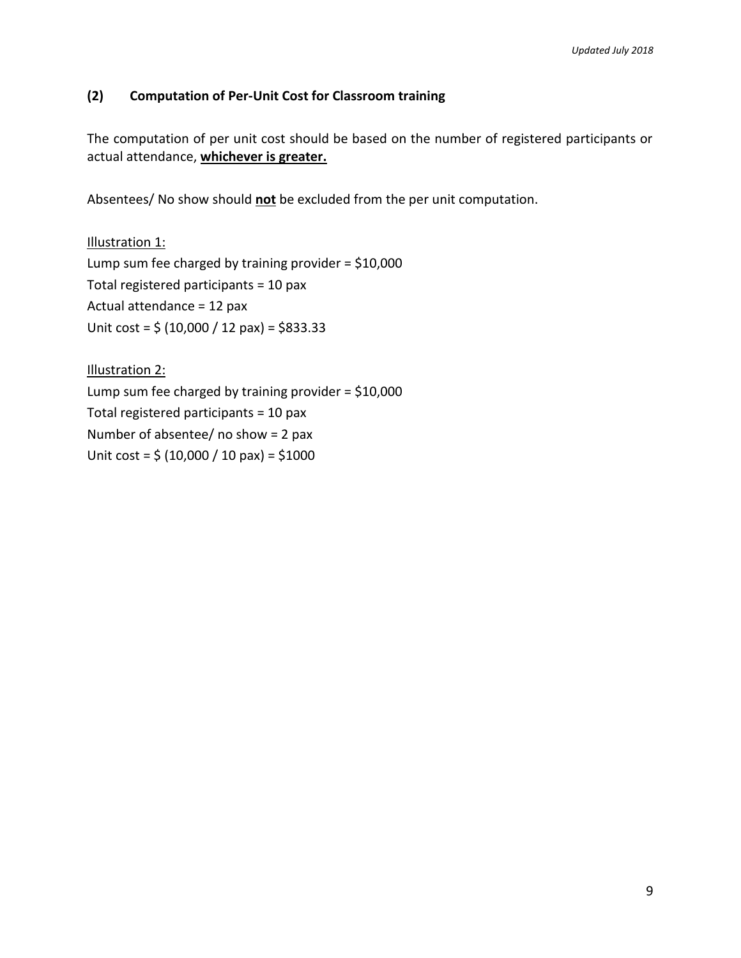## **(2) Computation of Per-Unit Cost for Classroom training**

The computation of per unit cost should be based on the number of registered participants or actual attendance, **whichever is greater.**

Absentees/ No show should **not** be excluded from the per unit computation.

Illustration 1: Lump sum fee charged by training provider =  $$10,000$ Total registered participants = 10 pax Actual attendance = 12 pax Unit cost =  $\frac{2}{3}$  (10,000 / 12 pax) = \$833.33

Illustration 2: Lump sum fee charged by training provider =  $$10,000$ Total registered participants = 10 pax Number of absentee/ no show = 2 pax Unit cost =  $\frac{2}{3}$  (10,000 / 10 pax) =  $\frac{2}{3}$ 1000